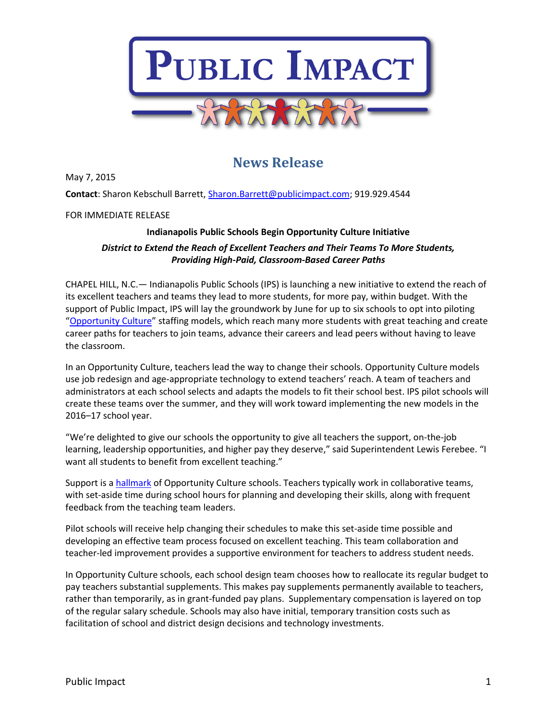

## **News Release**

May 7, 2015

**Contact**: Sharon Kebschull Barrett[, Sharon.Barrett@publicimpact.com;](mailto:Sharon.Barrett@publicimpact.com) 919.929.4544

FOR IMMEDIATE RELEASE

## **Indianapolis Public Schools Begin Opportunity Culture Initiative**

## *District to Extend the Reach of Excellent Teachers and Their Teams To More Students, Providing High-Paid, Classroom-Based Career Paths*

CHAPEL HILL, N.C.— Indianapolis Public Schools (IPS) is launching a new initiative to extend the reach of its excellent teachers and teams they lead to more students, for more pay, within budget. With the support of Public Impact, IPS will lay the groundwork by June for up to six schools to opt into piloting "[Opportunity Culture](http://www.opportunityculture.org/)" staffing models, which reach many more students with great teaching and create career paths for teachers to join teams, advance their careers and lead peers without having to leave the classroom.

In an Opportunity Culture, teachers lead the way to change their schools. Opportunity Culture models use job redesign and age-appropriate technology to extend teachers' reach. A team of teachers and administrators at each school selects and adapts the models to fit their school best. IPS pilot schools will create these teams over the summer, and they will work toward implementing the new models in the 2016–17 school year.

"We're delighted to give our schools the opportunity to give all teachers the support, on-the-job learning, leadership opportunities, and higher pay they deserve," said Superintendent Lewis Ferebee. "I want all students to benefit from excellent teaching."

Support is a [hallmark](http://opportunityculture.org/what-could-you-do-in-an-opportunity-culture/) of Opportunity Culture schools. Teachers typically work in collaborative teams, with set-aside time during school hours for planning and developing their skills, along with frequent feedback from the teaching team leaders.

Pilot schools will receive help changing their schedules to make this set-aside time possible and developing an effective team process focused on excellent teaching. This team collaboration and teacher-led improvement provides a supportive environment for teachers to address student needs.

In Opportunity Culture schools, each school design team chooses how to reallocate its regular budget to pay teachers substantial supplements. This makes pay supplements permanently available to teachers, rather than temporarily, as in grant-funded pay plans. Supplementary compensation is layered on top of the regular salary schedule. Schools may also have initial, temporary transition costs such as facilitation of school and district design decisions and technology investments.